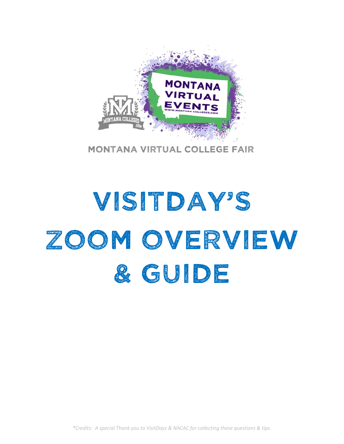

Montana virtual College fair

# Visitday's Zoom overview & GUIDE

*\*Credits: A special Thank you to VisitDays & NACAC for collecting these questions & tips.*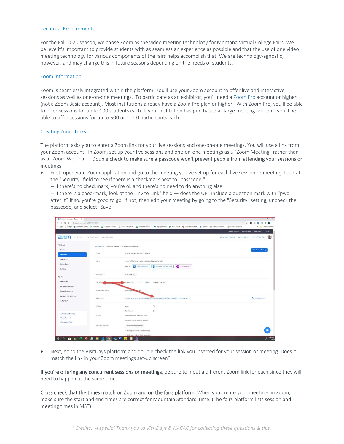### Technical Requirements

For the Fall 2020 season, we chose Zoom as the video meeting technology for Montana Virtual College Fairs. We believe it's important to provide students with as seamless an experience as possible and that the use of one video meeting technology for various components of the fairs helps accomplish that. We are technology-agnostic, however, and may change this in future seasons depending on the needs of students.

#### Zoom Information

Zoom is seamlessly integrated within the platform. You'll use your Zoom account to offer live and interactive sessions as well as one‐on‐one meetings. To participate as an exhibitor, you'll need a Zoom Pro account or higher (not a Zoom Basic account). Most institutions already have a Zoom Pro plan or higher. With Zoom Pro, you'll be able to offer sessions for up to 100 students each. If your institution has purchased a "large meeting add‐on," you'll be able to offer sessions for up to 500 or 1,000 participants each.

#### Creating Zoom Links

The platform asks you to enter a Zoom link for your live sessions and one-on-one meetings. You will use a link from your Zoom account. In Zoom, set up your live sessions and one‐on‐one meetings as a "Zoom Meeting" rather than as a "Zoom Webinar." Double check to make sure a passcode won't prevent people from attending your sessions or meetings.

- First, open your Zoom application and go to the meeting you've set up for each live session or meeting. Look at the "Security" field to see if there is a checkmark next to "passcode."
	- ‐‐ If there's no checkmark, you're ok and there's no need to do anything else.

-- If there is a checkmark, look at the "Invite Link" field — does the URL include a question mark with "pwd=" after it? If so, you're good to go. If not, then edit your meeting by going to the "Security" setting, uncheck the passcode, and select "Save."

| Meeting Information - Zoom X +                           |                                                      |                                                   |                                                                                                                                                                                                                               |                           |                                                  | $\sigma$<br>$-1$                                  |
|----------------------------------------------------------|------------------------------------------------------|---------------------------------------------------|-------------------------------------------------------------------------------------------------------------------------------------------------------------------------------------------------------------------------------|---------------------------|--------------------------------------------------|---------------------------------------------------|
| $C$ $\Omega$ $\equiv$ zoom.us/meeting/92496867613<br>SW. |                                                      |                                                   |                                                                                                                                                                                                                               |                           | $\Delta t$<br>$0+$                               | $\bullet$<br>人<br>$\Box$<br>$\circ$<br>$\,$<br>G) |
|                                                          |                                                      |                                                   | Hi Apps G Google (a Danboard - Fardat (B Formstack (a) Colleges & Univers. @ NACAC College Ad., (a) Secondary COVID-1. @ Login   Selesforce (F Hub - Panner (C Microsoft Children Ho., @ StareFile Mi National Association. @ |                           |                                                  | Other bookmarks<br>$\blacksquare$                 |
|                                                          |                                                      |                                                   |                                                                                                                                                                                                                               |                           | REQUESTA DEMO 1.888.799.0125 RESOURCES - SUPPORT |                                                   |
| zoom<br>SOLUTIONS -                                      | PLANS & PRICING CONTACT SALES                        |                                                   |                                                                                                                                                                                                                               | <b>SCHEDULE A MEETING</b> | <b>JOIN A MEETING</b>                            | 曲<br>HOSTAMEETING .                               |
| PERSONAL.                                                | My Meetings > Manage "NACAC - GTCF Agreement Review" |                                                   |                                                                                                                                                                                                                               |                           |                                                  |                                                   |
| Profile                                                  |                                                      |                                                   |                                                                                                                                                                                                                               |                           |                                                  | <b>Start this Meeting</b>                         |
| <b>Meetings</b>                                          | <b>Topic</b>                                         | NACAC - GTCF Agreement Review                     |                                                                                                                                                                                                                               |                           |                                                  |                                                   |
| <b>Webinars</b>                                          | Time                                                 | Sep 3, 2020 01:30 PM Eastern Time (US and Canada) |                                                                                                                                                                                                                               |                           |                                                  |                                                   |
| Recordings                                               |                                                      | Add to<br><b>RT</b> Google Calendar               | Oa Outlook Calendar (.ics)<br>Vahoo Calendar                                                                                                                                                                                  |                           |                                                  |                                                   |
| Settings                                                 |                                                      |                                                   |                                                                                                                                                                                                                               |                           |                                                  |                                                   |
| ADMIN                                                    | Meeting ID                                           | 924 9886 7613                                     |                                                                                                                                                                                                                               |                           |                                                  |                                                   |
| Dashboard                                                | Security,                                            | ********<br>Passcode<br>Show:                     | v Waiting Room                                                                                                                                                                                                                |                           |                                                  |                                                   |
| > User Management                                        |                                                      |                                                   |                                                                                                                                                                                                                               |                           |                                                  |                                                   |
| > Room Management                                        | Alternative Hosts                                    | pbrown@nw and org                                 |                                                                                                                                                                                                                               |                           |                                                  |                                                   |
| > Account Management                                     | trivite Link                                         |                                                   | https://nacac.zoom.us/j/92498867613?pwd=Y2z4VEFdVNxRmxMNVRG6CtKZVIIQT09                                                                                                                                                       |                           |                                                  | C Copy Invitation                                 |
| > Advanced                                               |                                                      |                                                   |                                                                                                                                                                                                                               |                           |                                                  |                                                   |
|                                                          | Video                                                | Host                                              | On                                                                                                                                                                                                                            |                           |                                                  |                                                   |
| Attend Live Training                                     |                                                      | Participant                                       | On                                                                                                                                                                                                                            |                           |                                                  |                                                   |
| Video Tutorials                                          | Audio                                                | Telephone and Computer Audio                      |                                                                                                                                                                                                                               |                           |                                                  |                                                   |
| Knowledge Base                                           |                                                      | Dial from United States of America                |                                                                                                                                                                                                                               |                           |                                                  |                                                   |
|                                                          | Meeting Options.                                     | Enable join before host                           |                                                                                                                                                                                                                               |                           |                                                  |                                                   |
|                                                          |                                                      | » Mute participants upon entry EB                 |                                                                                                                                                                                                                               |                           |                                                  | ٠                                                 |
|                                                          |                                                      | » Only authenticated users can join.              |                                                                                                                                                                                                                               |                           |                                                  |                                                   |
| 亩<br>œ<br>$\alpha$                                       | <b>AND CHED</b>                                      | н<br>畹<br>$\bullet$                               |                                                                                                                                                                                                                               |                           |                                                  | 840 AM<br>s                                       |

 Next, go to the VisitDays platform and double check the link you inserted for your session or meeting. Does it match the link in your Zoom meetings set‐up screen?

If you're offering any concurrent sessions or meetings, be sure to input a different Zoom link for each since they will need to happen at the same time.

Cross check that the times match on Zoom and on the fairs platform. When you create your meetings in Zoom, make sure the start and end times are correct for Mountain Standard Time. (The fairs platform lists session and meeting times in MST).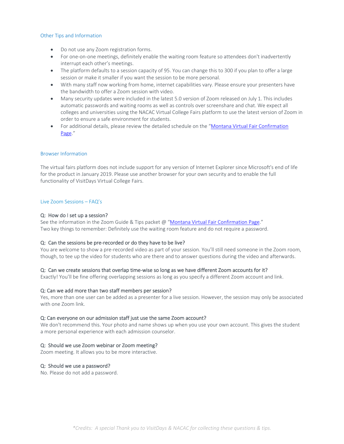# Other Tips and Information

- Do not use any Zoom registration forms.
- For one-on-one meetings, definitely enable the waiting room feature so attendees don't inadvertently interrupt each other's meetings.
- The platform defaults to a session capacity of 95. You can change this to 300 if you plan to offer a large session or make it smaller if you want the session to be more personal.
- With many staff now working from home, internet capabilities vary. Please ensure your presenters have the bandwidth to offer a Zoom session with video.
- Many security updates were included in the latest 5.0 version of Zoom released on July 1. This includes automatic passwords and waiting rooms as well as controls over screenshare and chat. We expect all colleges and universities using the NACAC Virtual College Fairs platform to use the latest version of Zoom in order to ensure a safe environment for students.
- For additional details, please review the detailed schedule on the "Montana Virtual Fair Confirmation Page."

# Browser Information

The virtual fairs platform does not include support for any version of Internet Explorer since Microsoft's end of life for the product in January 2019. Please use another browser for your own security and to enable the full functionality of VisitDays Virtual College Fairs.

#### Live Zoom Sessions – FAQ's

#### Q: How do I set up a session?

See the information in the Zoom Guide & Tips packet @ "Montana Virtual Fair Confirmation Page." Two key things to remember: Definitely use the waiting room feature and do not require a password.

# Q: Can the sessions be pre-recorded or do they have to be live?

You are welcome to show a pre-recorded video as part of your session. You'll still need someone in the Zoom room, though, to tee up the video for students who are there and to answer questions during the video and afterwards.

# Q: Can we create sessions that overlap time-wise so long as we have different Zoom accounts for it?

Exactly! You'll be fine offering overlapping sessions as long as you specify a different Zoom account and link.

# Q: Can we add more than two staff members per session?

Yes, more than one user can be added as a presenter for a live session. However, the session may only be associated with one Zoom link.

### Q: Can everyone on our admission staff just use the same Zoom account?

We don't recommend this. Your photo and name shows up when you use your own account. This gives the student a more personal experience with each admission counselor.

# Q: Should we use Zoom webinar or Zoom meeting?

Zoom meeting. It allows you to be more interactive.

#### Q: Should we use a password?

No. Please do not add a password.